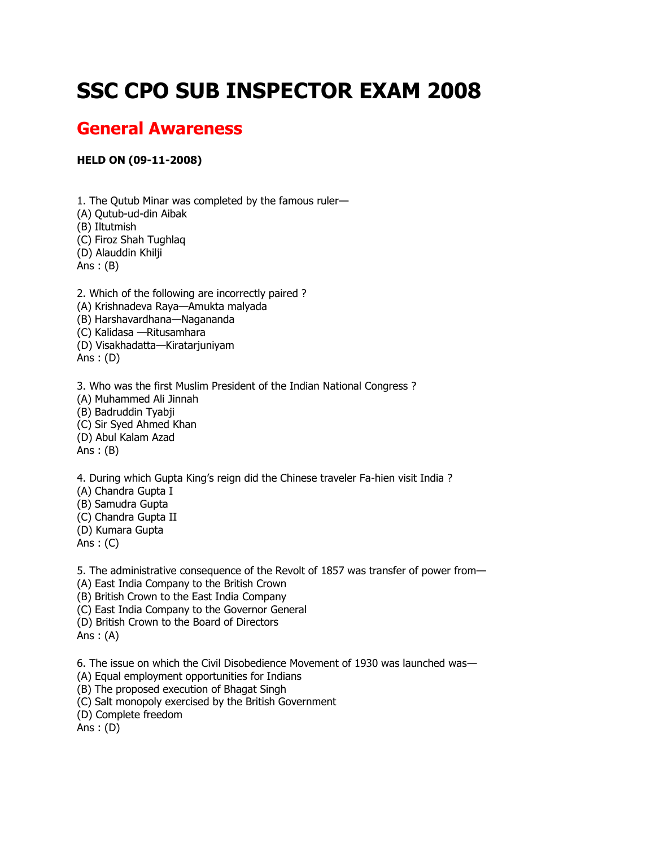## **SSC CPO SUB INSPECTOR EXAM 2008**

## **General Awareness**

## **HELD ON (09-11-2008)**

1. The Qutub Minar was completed by the famous ruler— (A) Qutub-ud-din Aibak (B) Iltutmish (C) Firoz Shah Tughlaq (D) Alauddin Khilji Ans : (B) 2. Which of the following are incorrectly paired ? (A) Krishnadeva Raya—Amukta malyada (B) Harshavardhana—Nagananda (C) Kalidasa —Ritusamhara (D) Visakhadatta—Kiratarjuniyam Ans : (D)

3. Who was the first Muslim President of the Indian National Congress ? (A) Muhammed Ali Jinnah (B) Badruddin Tyabji (C) Sir Syed Ahmed Khan (D) Abul Kalam Azad Ans : (B)

4. During which Gupta King's reign did the Chinese traveler Fa-hien visit India ?

(A) Chandra Gupta I

(B) Samudra Gupta

- (C) Chandra Gupta II
- (D) Kumara Gupta

Ans : (C)

5. The administrative consequence of the Revolt of 1857 was transfer of power from—

(A) East India Company to the British Crown

(B) British Crown to the East India Company

(C) East India Company to the Governor General

(D) British Crown to the Board of Directors

Ans : (A)

6. The issue on which the Civil Disobedience Movement of 1930 was launched was—

(A) Equal employment opportunities for Indians

(B) The proposed execution of Bhagat Singh

(C) Salt monopoly exercised by the British Government

(D) Complete freedom

Ans : (D)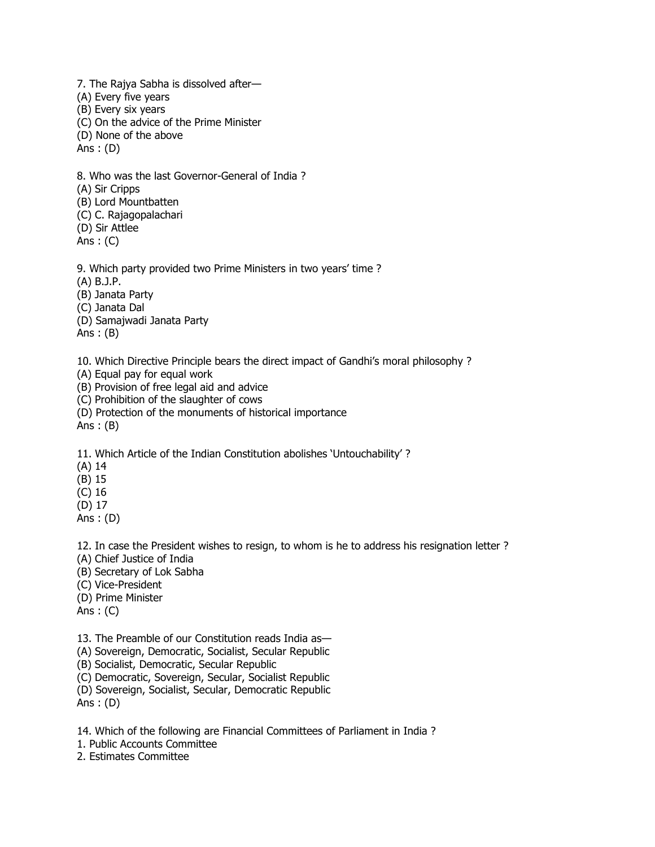7. The Rajya Sabha is dissolved after— (A) Every five years (B) Every six years (C) On the advice of the Prime Minister (D) None of the above Ans : (D)

8. Who was the last Governor-General of India ? (A) Sir Cripps (B) Lord Mountbatten (C) C. Rajagopalachari

(D) Sir Attlee

Ans  $: (C)$ 

9. Which party provided two Prime Ministers in two years' time ?

(A) B.J.P.

(B) Janata Party

(C) Janata Dal

(D) Samajwadi Janata Party

Ans : (B)

10. Which Directive Principle bears the direct impact of Gandhi's moral philosophy ?

(A) Equal pay for equal work

(B) Provision of free legal aid and advice

(C) Prohibition of the slaughter of cows

(D) Protection of the monuments of historical importance

Ans : (B)

11. Which Article of the Indian Constitution abolishes 'Untouchability' ?

(A) 14

(B) 15

(C) 16

(D) 17

Ans : (D)

12. In case the President wishes to resign, to whom is he to address his resignation letter ?

(A) Chief Justice of India

(B) Secretary of Lok Sabha

(C) Vice-President

(D) Prime Minister

Ans : (C)

13. The Preamble of our Constitution reads India as—

(A) Sovereign, Democratic, Socialist, Secular Republic

(B) Socialist, Democratic, Secular Republic

(C) Democratic, Sovereign, Secular, Socialist Republic

(D) Sovereign, Socialist, Secular, Democratic Republic

Ans : (D)

14. Which of the following are Financial Committees of Parliament in India ?

1. Public Accounts Committee

2. Estimates Committee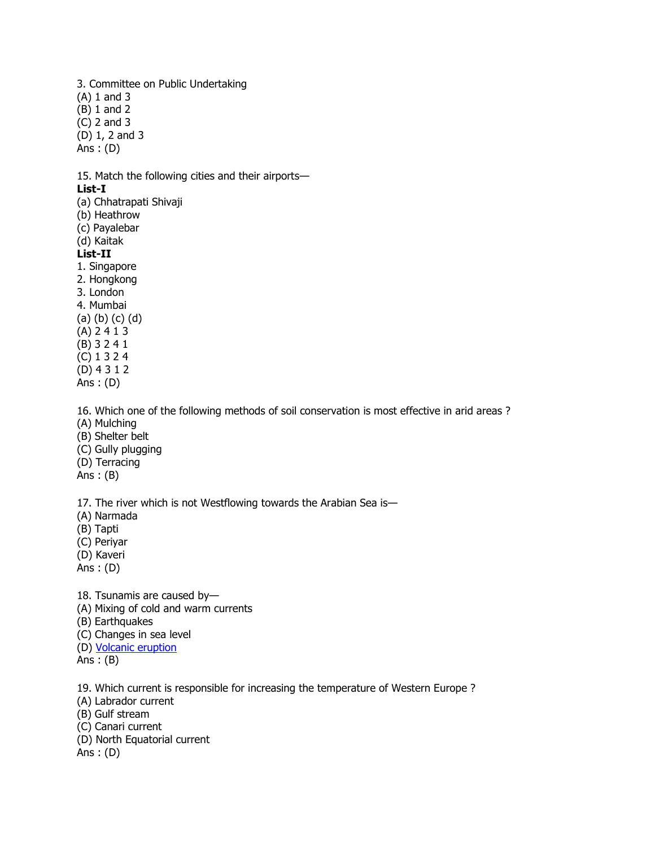3. Committee on Public Undertaking (A) 1 and 3 (B) 1 and 2 (C) 2 and 3 (D) 1, 2 and 3 Ans : (D) 15. Match the following cities and their airports— **List-I** (a) Chhatrapati Shivaji (b) Heathrow (c) Payalebar (d) Kaitak **List-II** 1. Singapore 2. Hongkong 3. London 4. Mumbai (a) (b) (c) (d) (A) 2 4 1 3 (B) 3 2 4 1 (C) 1 3 2 4 (D) 4 3 1 2 Ans : (D) 16. Which one of the following methods of soil conservation is most effective in arid areas ? (A) Mulching (B) Shelter belt (C) Gully plugging (D) Terracing Ans : (B) 17. The river which is not Westflowing towards the Arabian Sea is— (A) Narmada

(B) Tapti

(C) Periyar

(D) Kaveri

Ans : (D)

18. Tsunamis are caused by—

(A) Mixing of cold and warm currents

(B) Earthquakes

- (C) Changes in sea level
- (D) [Volcanic eruption](http://sscexampapers.blogspot.com/2010/11/ssc-cpo-sub-inspector-exam-2008.html)

 $Ans:$  (B)

19. Which current is responsible for increasing the temperature of Western Europe ?

- (A) Labrador current
- (B) Gulf stream
- (C) Canari current
- (D) North Equatorial current

Ans : (D)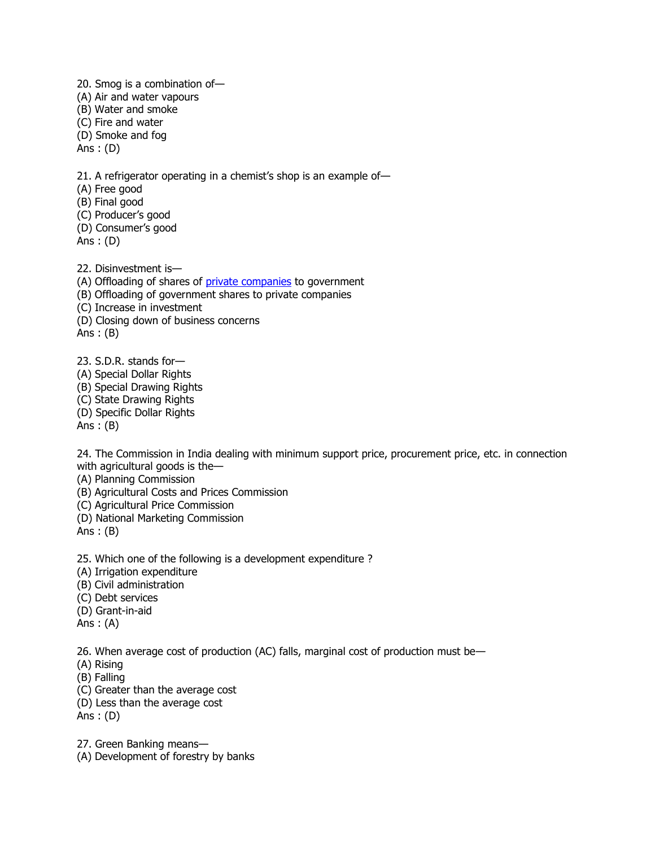20. Smog is a combination of— (A) Air and water vapours (B) Water and smoke (C) Fire and water (D) Smoke and fog Ans : (D) 21. A refrigerator operating in a chemist's shop is an example of— (A) Free good (B) Final good (C) Producer's good (D) Consumer's good Ans : (D) 22. Disinvestment is—

(A) Offloading of shares of [private companies](http://sscexampapers.blogspot.com/2010/11/ssc-cpo-sub-inspector-exam-2008.html) to government (B) Offloading of government shares to private companies (C) Increase in investment (D) Closing down of business concerns Ans : (B)

23. S.D.R. stands for— (A) Special Dollar Rights (B) Special Drawing Rights (C) State Drawing Rights (D) Specific Dollar Rights Ans : (B)

24. The Commission in India dealing with minimum support price, procurement price, etc. in connection with agricultural goods is the—

(A) Planning Commission

(B) Agricultural Costs and Prices Commission

(C) Agricultural Price Commission

(D) National Marketing Commission

Ans : (B)

25. Which one of the following is a development expenditure ?

(A) Irrigation expenditure

(B) Civil administration

(C) Debt services

(D) Grant-in-aid

Ans : (A)

26. When average cost of production (AC) falls, marginal cost of production must be—

- (A) Rising
- (B) Falling
- (C) Greater than the average cost
- (D) Less than the average cost

Ans : (D)

27. Green Banking means—

(A) Development of forestry by banks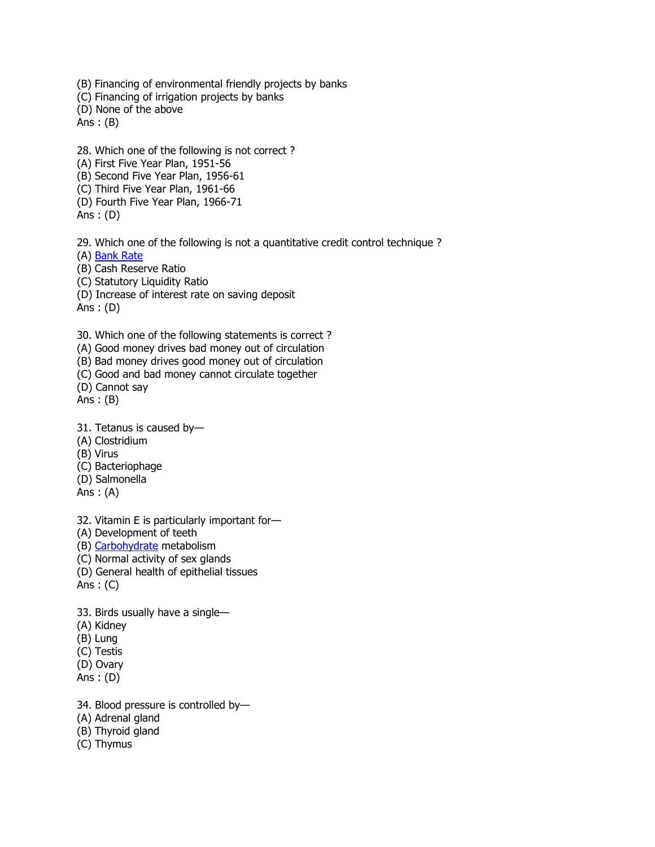(B) Financing of environmental friendly projects by banks (C) Financing of irrigation projects by banks (D) None of the above Ans : (B)

28. Which one of the following is not correct ?

(A) First Five Year Plan, 1951-56

(B) Second Five Year Plan, 1956-61

(C) Third Five Year Plan, 1961-66

(D) Fourth Five Year Plan, 1966-71

Ans : (D)

29. Which one of the following is not a quantitative credit control technique ?

(A) [Bank Rate](http://sscexampapers.blogspot.com/2010/11/ssc-cpo-sub-inspector-exam-2008.html)

(B) Cash Reserve Ratio

(C) Statutory Liquidity Ratio

(D) Increase of interest rate on saving deposit

Ans : (D)

30. Which one of the following statements is correct ?

(A) Good money drives bad money out of circulation

(B) Bad money drives good money out of circulation

(C) Good and bad money cannot circulate together

(D) Cannot say

Ans:  $(B)$ 

31. Tetanus is caused by—

(A) Clostridium

(B) Virus

(C) Bacteriophage

(D) Salmonella

Ans : (A)

32. Vitamin E is particularly important for—

(A) Development of teeth

(B) [Carbohydrate](http://sscexampapers.blogspot.com/2010/11/ssc-cpo-sub-inspector-exam-2008.html) metabolism

(C) Normal activity of sex glands

(D) General health of epithelial tissues

Ans  $: (C)$ 

33. Birds usually have a single—

(A) Kidney

(B) Lung

(C) Testis

(D) Ovary

Ans : (D)

34. Blood pressure is controlled by—

(A) Adrenal gland

(B) Thyroid gland

(C) Thymus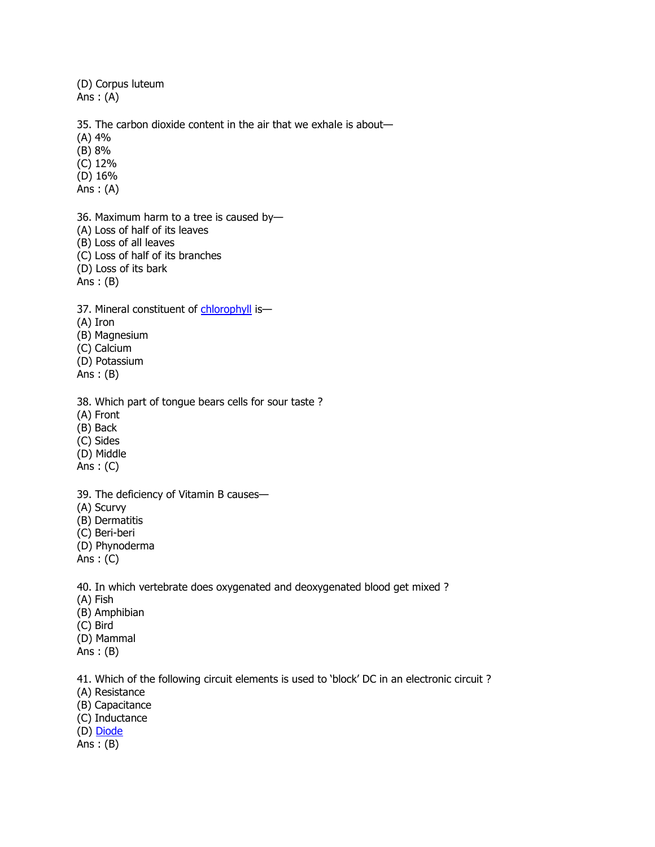(D) Corpus luteum Ans  $: (A)$ 

35. The carbon dioxide content in the air that we exhale is about—

(A) 4%

(B) 8%

(C) 12%

(D) 16%

Ans : (A)

36. Maximum harm to a tree is caused by—

(A) Loss of half of its leaves

(B) Loss of all leaves

(C) Loss of half of its branches

(D) Loss of its bark

Ans : (B)

37. Mineral constituent of [chlorophyll](http://sscexampapers.blogspot.com/2010/11/ssc-cpo-sub-inspector-exam-2008.html) is-

(A) Iron

(B) Magnesium

(C) Calcium

(D) Potassium

Ans : (B)

38. Which part of tongue bears cells for sour taste ?

(A) Front

(B) Back

(C) Sides

(D) Middle

Ans : (C)

39. The deficiency of Vitamin B causes—

(A) Scurvy

(B) Dermatitis

(C) Beri-beri

(D) Phynoderma

Ans : (C)

40. In which vertebrate does oxygenated and deoxygenated blood get mixed ?

(A) Fish

(B) Amphibian

(C) Bird

(D) Mammal

Ans : (B)

41. Which of the following circuit elements is used to 'block' DC in an electronic circuit ?

(A) Resistance

(B) Capacitance

(C) Inductance

(D) [Diode](http://sscexampapers.blogspot.com/2010/11/ssc-cpo-sub-inspector-exam-2008.html)

Ans  $:(B)$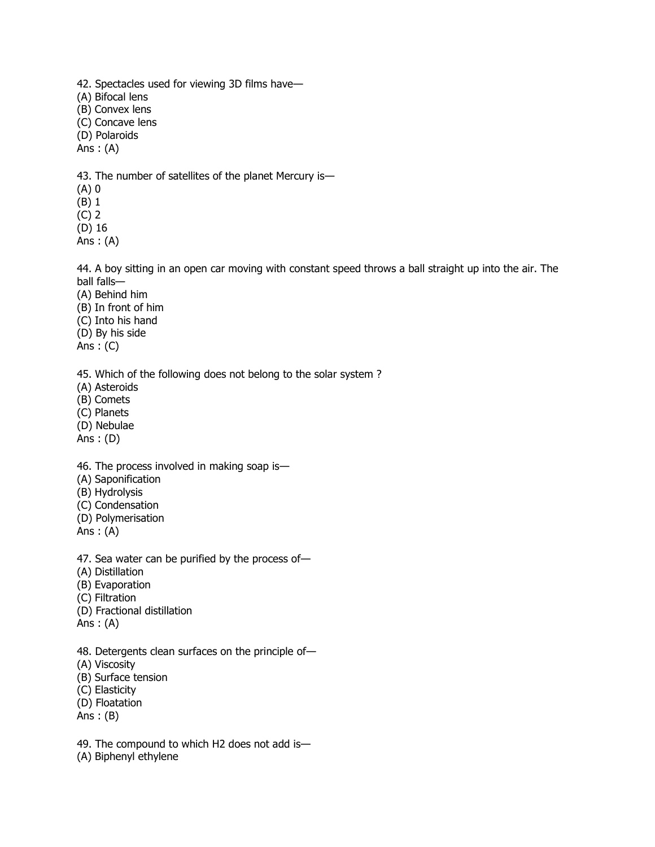42. Spectacles used for viewing 3D films have— (A) Bifocal lens (B) Convex lens (C) Concave lens (D) Polaroids Ans  $: (A)$ 43. The number of satellites of the planet Mercury is—

(A) 0 (B) 1

(C) 2

(D) 16

Ans  $: (A)$ 

44. A boy sitting in an open car moving with constant speed throws a ball straight up into the air. The ball falls—

(A) Behind him

- (B) In front of him
- (C) Into his hand

(D) By his side

Ans : (C)

45. Which of the following does not belong to the solar system ?

(A) Asteroids

(B) Comets

(C) Planets

(D) Nebulae

Ans : (D)

46. The process involved in making soap is—

(A) Saponification

(B) Hydrolysis

(C) Condensation

(D) Polymerisation

Ans  $: (A)$ 

47. Sea water can be purified by the process of—

(A) Distillation

(B) Evaporation

(C) Filtration

(D) Fractional distillation

Ans : (A)

48. Detergents clean surfaces on the principle of—

(A) Viscosity

(B) Surface tension

(C) Elasticity

(D) Floatation

Ans : (B)

49. The compound to which H2 does not add is—

(A) Biphenyl ethylene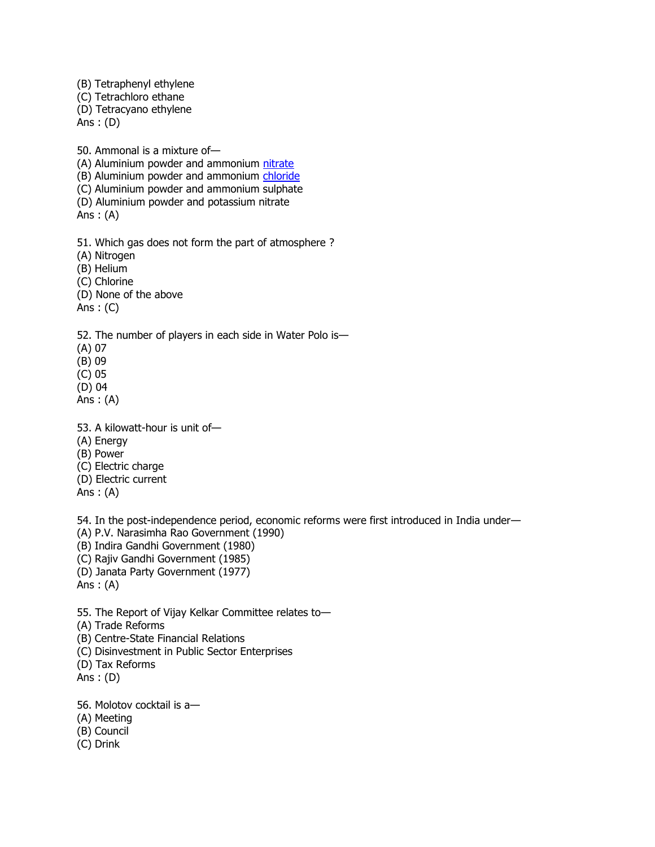(B) Tetraphenyl ethylene (C) Tetrachloro ethane (D) Tetracyano ethylene Ans : (D) 50. Ammonal is a mixture of (A) Aluminium powder and ammonium [nitrate](http://sscexampapers.blogspot.com/2010/11/ssc-cpo-sub-inspector-exam-2008.html) (B) Aluminium powder and ammonium [chloride](http://sscexampapers.blogspot.com/2010/11/ssc-cpo-sub-inspector-exam-2008.html) (C) Aluminium powder and ammonium sulphate (D) Aluminium powder and potassium nitrate Ans : (A) 51. Which gas does not form the part of atmosphere ? (A) Nitrogen (B) Helium (C) Chlorine (D) None of the above Ans : (C) 52. The number of players in each side in Water Polo is— (A) 07 (B) 09 (C) 05 (D) 04 Ans  $: (A)$ 53. A kilowatt-hour is unit of— (A) Energy (B) Power (C) Electric charge (D) Electric current Ans : (A) 54. In the post-independence period, economic reforms were first introduced in India under— (A) P.V. Narasimha Rao Government (1990) (B) Indira Gandhi Government (1980) (C) Rajiv Gandhi Government (1985) (D) Janata Party Government (1977) Ans : (A) 55. The Report of Vijay Kelkar Committee relates to— (A) Trade Reforms (B) Centre-State Financial Relations

(C) Disinvestment in Public Sector Enterprises

(D) Tax Reforms

Ans : (D)

56. Molotov cocktail is a—

(A) Meeting

(B) Council

(C) Drink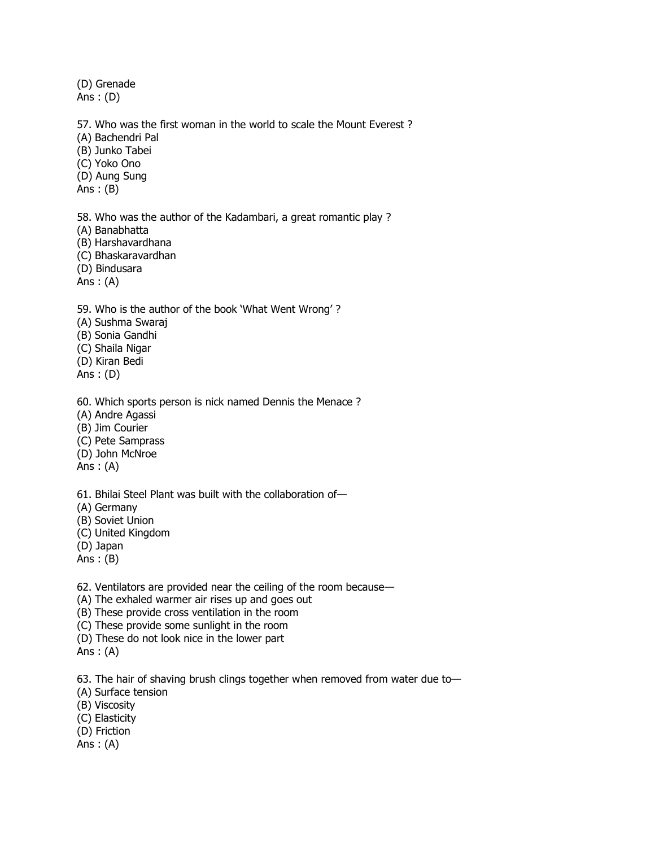(D) Grenade Ans : (D)

57. Who was the first woman in the world to scale the Mount Everest ?

(A) Bachendri Pal

(B) Junko Tabei

(C) Yoko Ono

(D) Aung Sung

Ans : (B)

58. Who was the author of the Kadambari, a great romantic play ?

(A) Banabhatta

(B) Harshavardhana

(C) Bhaskaravardhan

(D) Bindusara

Ans  $: (A)$ 

59. Who is the author of the book 'What Went Wrong' ?

(A) Sushma Swaraj

(B) Sonia Gandhi

(C) Shaila Nigar

(D) Kiran Bedi

Ans : (D)

60. Which sports person is nick named Dennis the Menace ?

(A) Andre Agassi

(B) Jim Courier

(C) Pete Samprass

(D) John McNroe

Ans : (A)

61. Bhilai Steel Plant was built with the collaboration of—

(A) Germany

(B) Soviet Union

(C) United Kingdom

(D) Japan

Ans : (B)

62. Ventilators are provided near the ceiling of the room because—

(A) The exhaled warmer air rises up and goes out

(B) These provide cross ventilation in the room

(C) These provide some sunlight in the room

(D) These do not look nice in the lower part

Ans : (A)

63. The hair of shaving brush clings together when removed from water due to—

(A) Surface tension

(B) Viscosity

(C) Elasticity

(D) Friction

Ans : (A)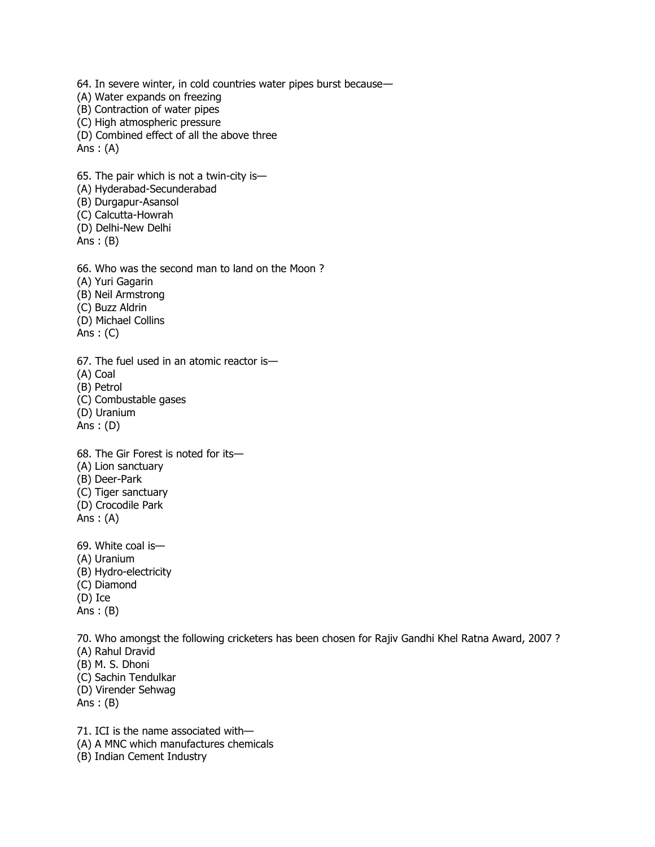64. In severe winter, in cold countries water pipes burst because— (A) Water expands on freezing (B) Contraction of water pipes (C) High atmospheric pressure (D) Combined effect of all the above three Ans  $: (A)$ 65. The pair which is not a twin-city is— (A) Hyderabad-Secunderabad (B) Durgapur-Asansol (C) Calcutta-Howrah (D) Delhi-New Delhi Ans : (B) 66. Who was the second man to land on the Moon ? (A) Yuri Gagarin (B) Neil Armstrong (C) Buzz Aldrin (D) Michael Collins Ans  $: (C)$ 67. The fuel used in an atomic reactor is— (A) Coal (B) Petrol (C) Combustable gases (D) Uranium Ans : (D) 68. The Gir Forest is noted for its— (A) Lion sanctuary (B) Deer-Park (C) Tiger sanctuary (D) Crocodile Park Ans : (A) 69. White coal is— (A) Uranium (B) Hydro-electricity (C) Diamond (D) Ice Ans : (B) 70. Who amongst the following cricketers has been chosen for Rajiv Gandhi Khel Ratna Award, 2007 ? (A) Rahul Dravid (B) M. S. Dhoni

(C) Sachin Tendulkar

(D) Virender Sehwag

Ans : (B)

71. ICI is the name associated with— (A) A MNC which manufactures chemicals

(B) Indian Cement Industry